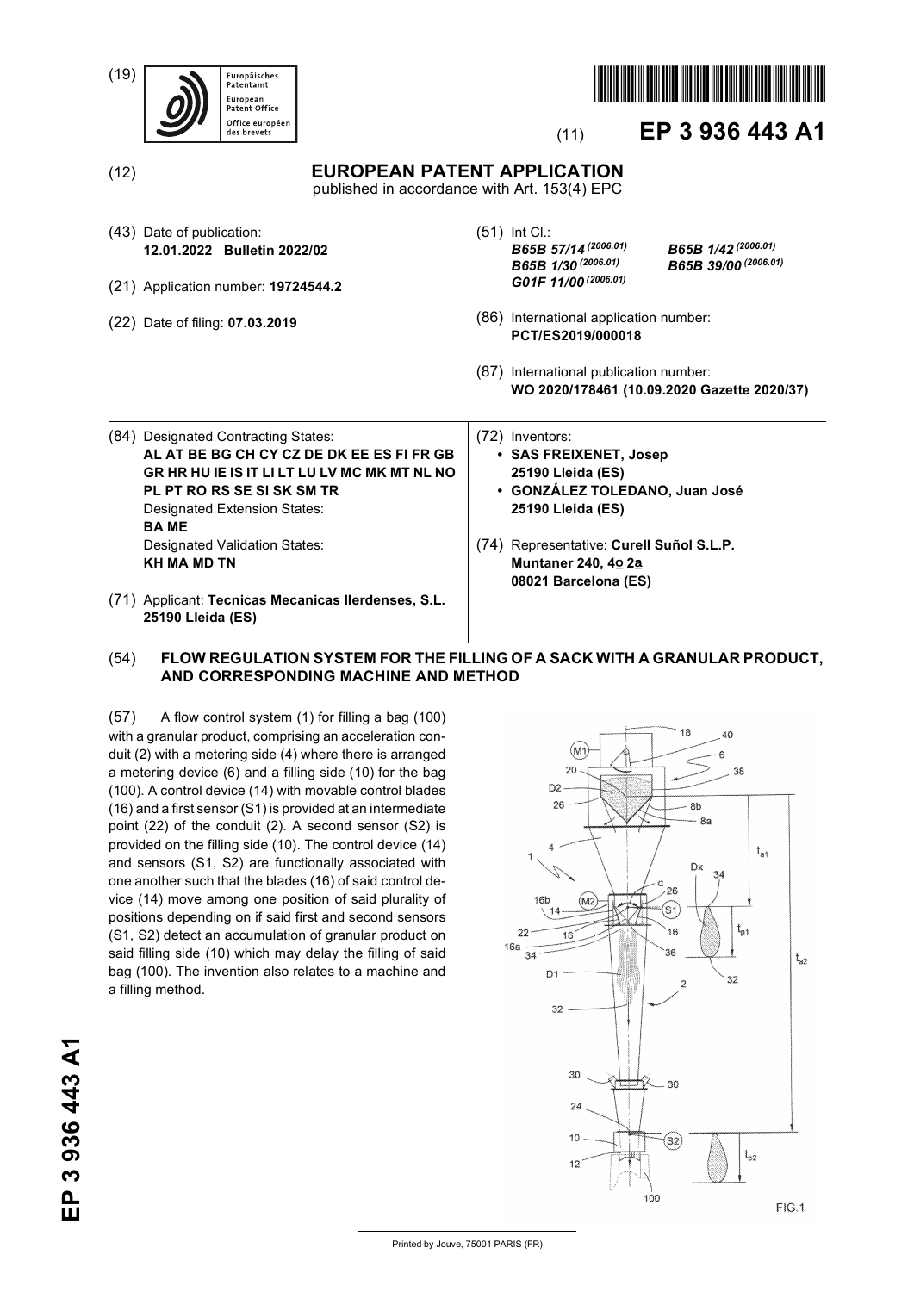| (19) | Europäisches<br>Patentamt<br>European<br>Patent Office<br>Office européen<br>des brevets                                                                                                                                                                             | EP 3 936 443 A1<br>(11)                                                                                                                                                                                          |  |
|------|----------------------------------------------------------------------------------------------------------------------------------------------------------------------------------------------------------------------------------------------------------------------|------------------------------------------------------------------------------------------------------------------------------------------------------------------------------------------------------------------|--|
| (12) |                                                                                                                                                                                                                                                                      | <b>EUROPEAN PATENT APPLICATION</b><br>published in accordance with Art. 153(4) EPC                                                                                                                               |  |
|      | (43) Date of publication:<br>12.01.2022 Bulletin 2022/02<br>(21) Application number: 19724544.2                                                                                                                                                                      | $(51)$ Int Cl.:<br>B65B 1/42 (2006.01)<br>B65B 57/14 <sup>(2006.01)</sup><br>B65B 39/00 (2006.01)<br>B65B 1/30 <sup>(2006.01)</sup><br>G01F 11/00 <sup>(2006.01)</sup>                                           |  |
|      | (22) Date of filing: <b>07.03.2019</b>                                                                                                                                                                                                                               | (86) International application number:<br>PCT/ES2019/000018<br>(87) International publication number:<br>WO 2020/178461 (10.09.2020 Gazette 2020/37)                                                             |  |
|      | (84) Designated Contracting States:<br>AL AT BE BG CH CY CZ DE DK EE ES FI FR GB<br>GR HR HU IE IS IT LI LT LU LV MC MK MT NL NO<br>PL PT RO RS SE SI SK SM TR<br>Designated Extension States:<br><b>BAME</b><br>Designated Validation States:<br><b>KH MA MD TN</b> | (72) Inventors:<br>• SAS FREIXENET, Josep<br>25190 Lleida (ES)<br>· GONZÁLEZ TOLEDANO, Juan José<br>25190 Lleida (ES)<br>(74) Representative: Curell Suñol S.L.P.<br>Muntaner 240, 40 2a<br>08021 Barcelona (ES) |  |
|      | (71) Applicant: Tecnicas Mecanicas Ilerdenses, S.L.<br>25190 Lleida (ES)                                                                                                                                                                                             |                                                                                                                                                                                                                  |  |

## (54) **FLOW REGULATION SYSTEM FOR THE FILLING OF A SACK WITH A GRANULAR PRODUCT, AND CORRESPONDING MACHINE AND METHOD**

(57) A flow control system (1) for filling a bag (100) with a granular product, comprising an acceleration conduit (2) with a metering side (4) where there is arranged a metering device (6) and a filling side (10) for the bag (100). A control device (14) with movable control blades (16) and a first sensor (S1) is provided at an intermediate point (22) of the conduit (2). A second sensor (S2) is provided on the filling side (10). The control device (14) and sensors (S1, S2) are functionally associated with one another such that the blades (16) of said control device (14) move among one position of said plurality of positions depending on if said first and second sensors (S1, S2) detect an accumulation of granular product on said filling side (10) which may delay the filling of said bag (100). The invention also relates to a machine and a filling method.



18

Printed by Jouve, 75001 PARIS (FR)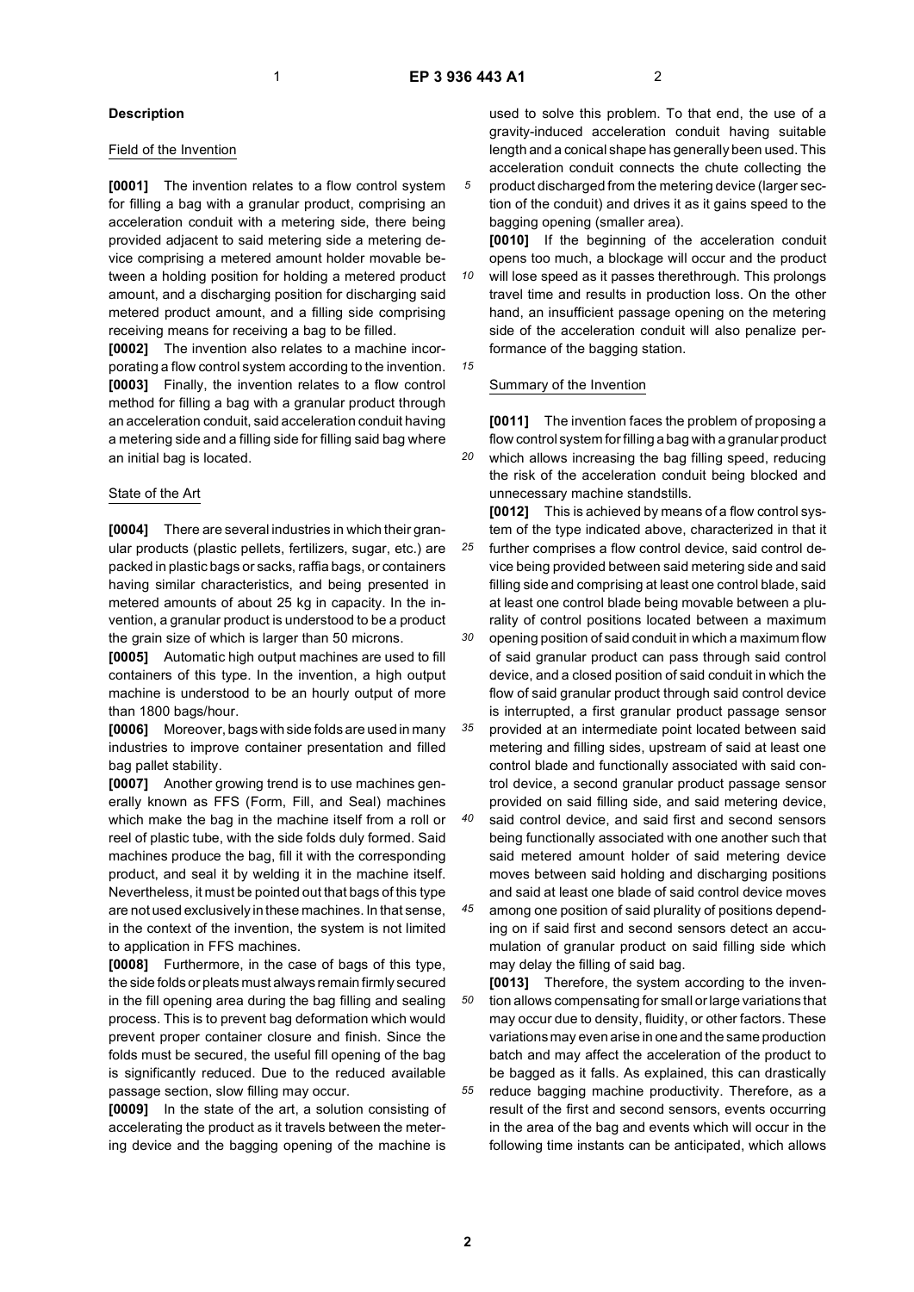*10*

*15*

*25*

*40*

## **Description**

#### Field of the Invention

**[0001]** The invention relates to a flow control system for filling a bag with a granular product, comprising an acceleration conduit with a metering side, there being provided adjacent to said metering side a metering device comprising a metered amount holder movable between a holding position for holding a metered product amount, and a discharging position for discharging said metered product amount, and a filling side comprising receiving means for receiving a bag to be filled.

**[0002]** The invention also relates to a machine incorporating a flow control system according to the invention. **[0003]** Finally, the invention relates to a flow control method for filling a bag with a granular product through an acceleration conduit, said acceleration conduit having a metering side and a filling side for filling said bag where an initial bag is located.

## State of the Art

**[0004]** There are several industries in which their granular products (plastic pellets, fertilizers, sugar, etc.) are packed in plastic bags or sacks, raffia bags, or containers having similar characteristics, and being presented in metered amounts of about 25 kg in capacity. In the invention, a granular product is understood to be a product the grain size of which is larger than 50 microns.

**[0005]** Automatic high output machines are used to fill containers of this type. In the invention, a high output machine is understood to be an hourly output of more than 1800 bags/hour.

**[0006]** Moreover, bags with side folds are used in many industries to improve container presentation and filled bag pallet stability.

**[0007]** Another growing trend is to use machines generally known as FFS (Form, Fill, and Seal) machines which make the bag in the machine itself from a roll or reel of plastic tube, with the side folds duly formed. Said machines produce the bag, fill it with the corresponding product, and seal it by welding it in the machine itself. Nevertheless, it must be pointed out that bags of this type are not used exclusively in these machines. In that sense, in the context of the invention, the system is not limited to application in FFS machines.

**[0008]** Furthermore, in the case of bags of this type, the side folds or pleats must always remain firmly secured in the fill opening area during the bag filling and sealing process. This is to prevent bag deformation which would prevent proper container closure and finish. Since the folds must be secured, the useful fill opening of the bag is significantly reduced. Due to the reduced available passage section, slow filling may occur.

**[0009]** In the state of the art, a solution consisting of accelerating the product as it travels between the metering device and the bagging opening of the machine is used to solve this problem. To that end, the use of a gravity-induced acceleration conduit having suitable length and a conical shape has generally been used. This acceleration conduit connects the chute collecting the product discharged from the metering device (larger sec-

tion of the conduit) and drives it as it gains speed to the bagging opening (smaller area). **[0010]** If the beginning of the acceleration conduit

opens too much, a blockage will occur and the product will lose speed as it passes therethrough. This prolongs travel time and results in production loss. On the other hand, an insufficient passage opening on the metering side of the acceleration conduit will also penalize performance of the bagging station.

Summary of the Invention

*20* **[0011]** The invention faces the problem of proposing a flow control system for filling a bag with a granular product which allows increasing the bag filling speed, reducing the risk of the acceleration conduit being blocked and unnecessary machine standstills.

*30 35* **[0012]** This is achieved by means of a flow control system of the type indicated above, characterized in that it further comprises a flow control device, said control device being provided between said metering side and said filling side and comprising at least one control blade, said at least one control blade being movable between a plurality of control positions located between a maximum opening position of said conduit in which a maximum flow of said granular product can pass through said control device, and a closed position of said conduit in which the flow of said granular product through said control device is interrupted, a first granular product passage sensor provided at an intermediate point located between said

metering and filling sides, upstream of said at least one control blade and functionally associated with said control device, a second granular product passage sensor provided on said filling side, and said metering device, said control device, and said first and second sensors

being functionally associated with one another such that said metered amount holder of said metering device moves between said holding and discharging positions and said at least one blade of said control device moves

*45* among one position of said plurality of positions depending on if said first and second sensors detect an accumulation of granular product on said filling side which may delay the filling of said bag.

*50 55* **[0013]** Therefore, the system according to the invention allows compensating for small or large variations that may occur due to density, fluidity, or other factors. These variations may even arise in one and the same production batch and may affect the acceleration of the product to be bagged as it falls. As explained, this can drastically reduce bagging machine productivity. Therefore, as a result of the first and second sensors, events occurring in the area of the bag and events which will occur in the following time instants can be anticipated, which allows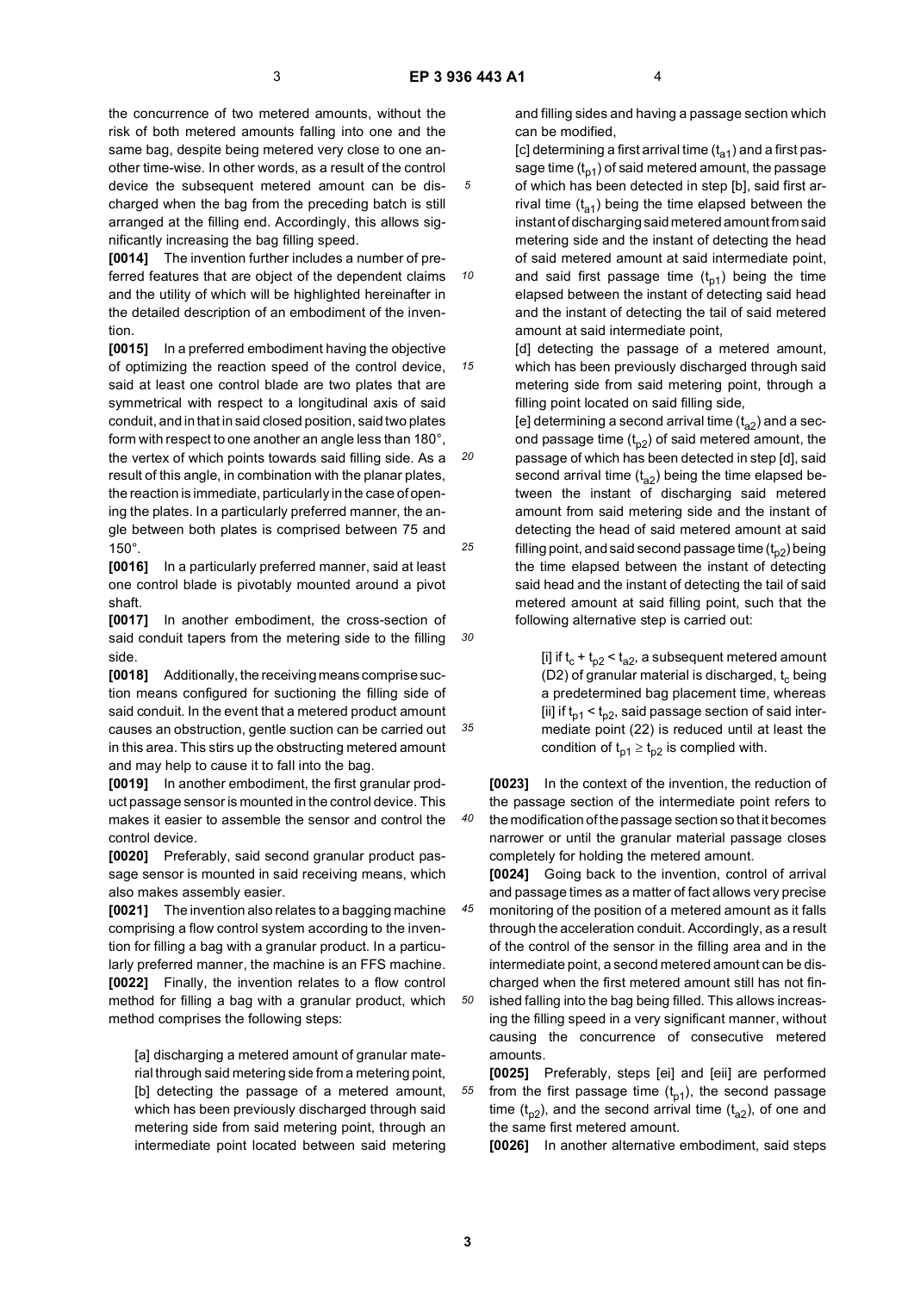*10*

*15*

the concurrence of two metered amounts, without the risk of both metered amounts falling into one and the same bag, despite being metered very close to one another time-wise. In other words, as a result of the control device the subsequent metered amount can be discharged when the bag from the preceding batch is still arranged at the filling end. Accordingly, this allows significantly increasing the bag filling speed.

**[0014]** The invention further includes a number of preferred features that are object of the dependent claims and the utility of which will be highlighted hereinafter in the detailed description of an embodiment of the invention.

**[0015]** In a preferred embodiment having the objective of optimizing the reaction speed of the control device, said at least one control blade are two plates that are symmetrical with respect to a longitudinal axis of said conduit, and in that in said closed position, said two plates form with respect to one another an angle less than 180°, the vertex of which points towards said filling side. As a result of this angle, in combination with the planar plates, the reaction is immediate, particularly in the case of opening the plates. In a particularly preferred manner, the angle between both plates is comprised between 75 and 150°.

**[0016]** In a particularly preferred manner, said at least one control blade is pivotably mounted around a pivot shaft.

**[0017]** In another embodiment, the cross-section of said conduit tapers from the metering side to the filling side.

*35* **[0018]** Additionally, the receiving means comprise suction means configured for suctioning the filling side of said conduit. In the event that a metered product amount causes an obstruction, gentle suction can be carried out in this area. This stirs up the obstructing metered amount and may help to cause it to fall into the bag.

**[0019]** In another embodiment, the first granular product passage sensor is mounted in the control device. This makes it easier to assemble the sensor and control the control device.

**[0020]** Preferably, said second granular product passage sensor is mounted in said receiving means, which also makes assembly easier.

**[0021]** The invention also relates to a bagging machine comprising a flow control system according to the invention for filling a bag with a granular product. In a particularly preferred manner, the machine is an FFS machine. **[0022]** Finally, the invention relates to a flow control method for filling a bag with a granular product, which method comprises the following steps:

[a] discharging a metered amount of granular material through said metering side from a metering point, [b] detecting the passage of a metered amount, which has been previously discharged through said metering side from said metering point, through an intermediate point located between said metering

and filling sides and having a passage section which can be modified,

[c] determining a first arrival time  $(t_{a1})$  and a first passage time  $(t_{n1})$  of said metered amount, the passage of which has been detected in step [b], said first arrival time  $(t_{a1})$  being the time elapsed between the instant of discharging said metered amount from said metering side and the instant of detecting the head of said metered amount at said intermediate point, and said first passage time  $(t_{n1})$  being the time elapsed between the instant of detecting said head and the instant of detecting the tail of said metered amount at said intermediate point,

[d] detecting the passage of a metered amount, which has been previously discharged through said metering side from said metering point, through a filling point located on said filling side,

[e] determining a second arrival time  $(t_{a2})$  and a second passage time  $(t_{p2})$  of said metered amount, the passage of which has been detected in step [d], said second arrival time  $(t_{a2})$  being the time elapsed between the instant of discharging said metered amount from said metering side and the instant of detecting the head of said metered amount at said filling point, and said second passage time  $(t_{p2})$  being the time elapsed between the instant of detecting said head and the instant of detecting the tail of said metered amount at said filling point, such that the following alternative step is carried out:

> [i] if  $t_c + t_{p2} < t_{q2}$ , a subsequent metered amount (D2) of granular material is discharged,  $t_c$  being a predetermined bag placement time, whereas [ii] if  $t_{p1} < t_{p2}$ , said passage section of said intermediate point (22) is reduced until at least the condition of  $t_{p1} \geq t_{p2}$  is complied with.

**[0023]** In the context of the invention, the reduction of the passage section of the intermediate point refers to the modification of the passage section so that it becomes narrower or until the granular material passage closes completely for holding the metered amount.

**[0024]** Going back to the invention, control of arrival and passage times as a matter of fact allows very precise

- *45 50* monitoring of the position of a metered amount as it falls through the acceleration conduit. Accordingly, as a result of the control of the sensor in the filling area and in the intermediate point, a second metered amount can be discharged when the first metered amount still has not finished falling into the bag being filled. This allows increasing the filling speed in a very significant manner, without causing the concurrence of consecutive metered amounts.
- *55* **[0025]** Preferably, steps [ei] and [eii] are performed from the first passage time  $(t_{p1})$ , the second passage time  $(t_{p2})$ , and the second arrival time  $(t_{q2})$ , of one and the same first metered amount.

**[0026]** In another alternative embodiment, said steps

*20*

*25*

*30*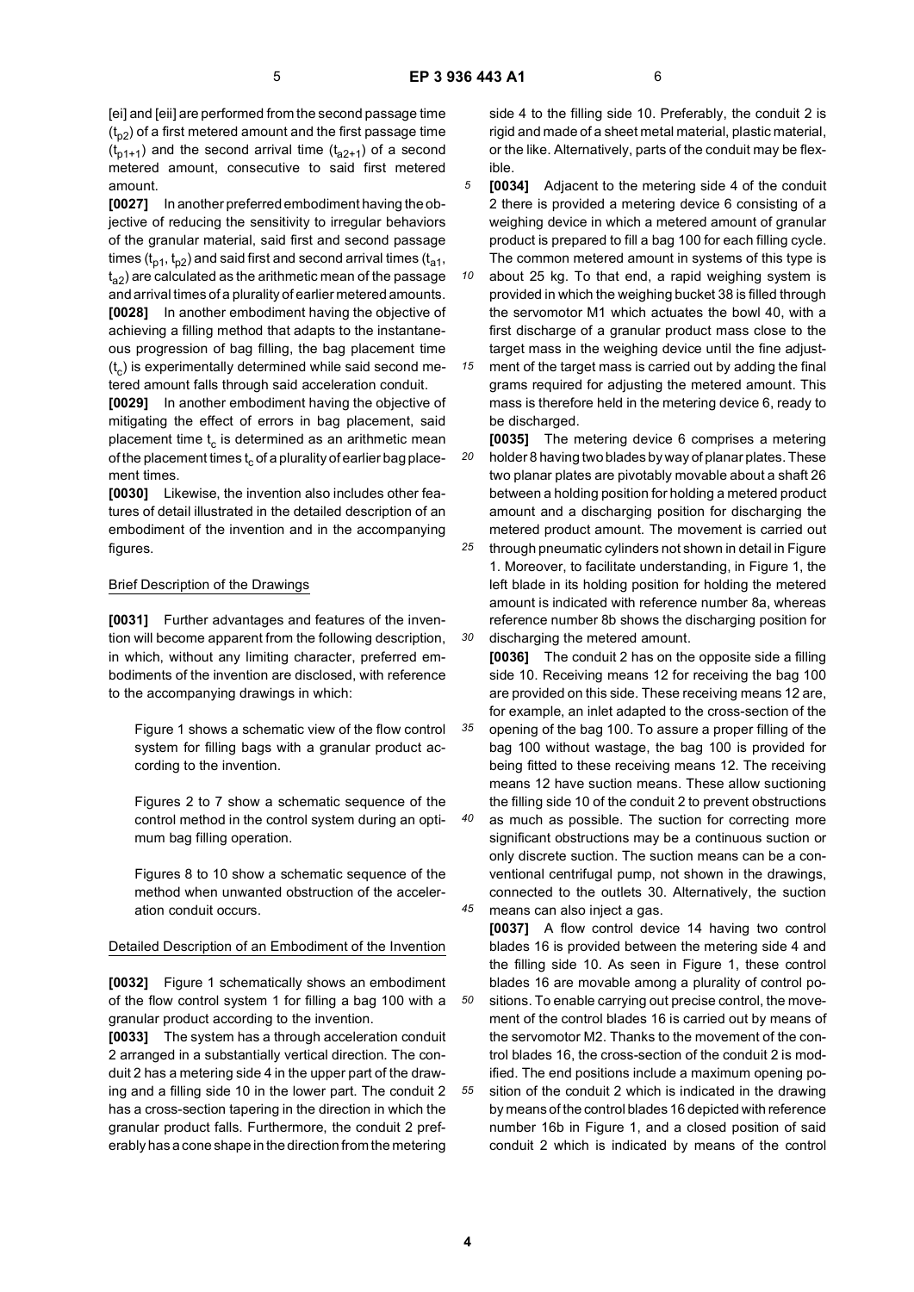[ei] and [eii] are performed from the second passage time  $(t_{p2})$  of a first metered amount and the first passage time  $(t_{p1+1})$  and the second arrival time  $(t_{q2+1})$  of a second metered amount, consecutive to said first metered amount.

**[0027]** In another preferred embodiment having the objective of reducing the sensitivity to irregular behaviors of the granular material, said first and second passage times ( $t_{p1}$ ,  $t_{p2}$ ) and said first and second arrival times ( $t_{q1}$ , t a2) are calculated as the arithmetic mean of the passage and arrival times of a plurality of earlier metered amounts. **[0028]** In another embodiment having the objective of achieving a filling method that adapts to the instantaneous progression of bag filling, the bag placement time  $(t<sub>c</sub>)$  is experimentally determined while said second metered amount falls through said acceleration conduit.

**[0029]** In another embodiment having the objective of mitigating the effect of errors in bag placement, said placement time  $t_c$  is determined as an arithmetic mean of the placement times  $t_c$  of a plurality of earlier bag placement times.

**[0030]** Likewise, the invention also includes other features of detail illustrated in the detailed description of an embodiment of the invention and in the accompanying figures.

## Brief Description of the Drawings

**[0031]** Further advantages and features of the invention will become apparent from the following description, in which, without any limiting character, preferred embodiments of the invention are disclosed, with reference to the accompanying drawings in which:

Figure 1 shows a schematic view of the flow control system for filling bags with a granular product according to the invention.

Figures 2 to 7 show a schematic sequence of the control method in the control system during an optimum bag filling operation.

Figures 8 to 10 show a schematic sequence of the method when unwanted obstruction of the acceleration conduit occurs.

## Detailed Description of an Embodiment of the Invention

**[0032]** Figure 1 schematically shows an embodiment of the flow control system 1 for filling a bag 100 with a granular product according to the invention.

**[0033]** The system has a through acceleration conduit 2 arranged in a substantially vertical direction. The conduit 2 has a metering side 4 in the upper part of the drawing and a filling side 10 in the lower part. The conduit 2 has a cross-section tapering in the direction in which the granular product falls. Furthermore, the conduit 2 preferably has a cone shape in the direction from the metering

side 4 to the filling side 10. Preferably, the conduit 2 is rigid and made of a sheet metal material, plastic material, or the like. Alternatively, parts of the conduit may be flexible.

*5* **[0034]** Adjacent to the metering side 4 of the conduit 2 there is provided a metering device 6 consisting of a weighing device in which a metered amount of granular product is prepared to fill a bag 100 for each filling cycle. The common metered amount in systems of this type is

*10* about 25 kg. To that end, a rapid weighing system is provided in which the weighing bucket 38 is filled through the servomotor M1 which actuates the bowl 40, with a first discharge of a granular product mass close to the target mass in the weighing device until the fine adjust-

*15* ment of the target mass is carried out by adding the final grams required for adjusting the metered amount. This mass is therefore held in the metering device 6, ready to be discharged.

*20* **[0035]** The metering device 6 comprises a metering holder 8 having two blades by way of planar plates. These two planar plates are pivotably movable about a shaft 26 between a holding position for holding a metered product amount and a discharging position for discharging the metered product amount. The movement is carried out

*25 30* through pneumatic cylinders not shown in detail in Figure 1. Moreover, to facilitate understanding, in Figure 1, the left blade in its holding position for holding the metered amount is indicated with reference number 8a, whereas reference number 8b shows the discharging position for discharging the metered amount.

**[0036]** The conduit 2 has on the opposite side a filling side 10. Receiving means 12 for receiving the bag 100 are provided on this side. These receiving means 12 are, for example, an inlet adapted to the cross-section of the opening of the bag 100. To assure a proper filling of the bag 100 without wastage, the bag 100 is provided for being fitted to these receiving means 12. The receiving means 12 have suction means. These allow suctioning the filling side 10 of the conduit 2 to prevent obstructions as much as possible. The suction for correcting more significant obstructions may be a continuous suction or only discrete suction. The suction means can be a conventional centrifugal pump, not shown in the drawings, connected to the outlets 30. Alternatively, the suction

*45*

*50*

*55*

*35*

*40*

**[0037]** A flow control device 14 having two control blades 16 is provided between the metering side 4 and the filling side 10. As seen in Figure 1, these control blades 16 are movable among a plurality of control positions. To enable carrying out precise control, the movement of the control blades 16 is carried out by means of the servomotor M2. Thanks to the movement of the control blades 16, the cross-section of the conduit 2 is modified. The end positions include a maximum opening position of the conduit 2 which is indicated in the drawing by means of the control blades 16 depicted with reference number 16b in Figure 1, and a closed position of said conduit 2 which is indicated by means of the control

means can also inject a gas.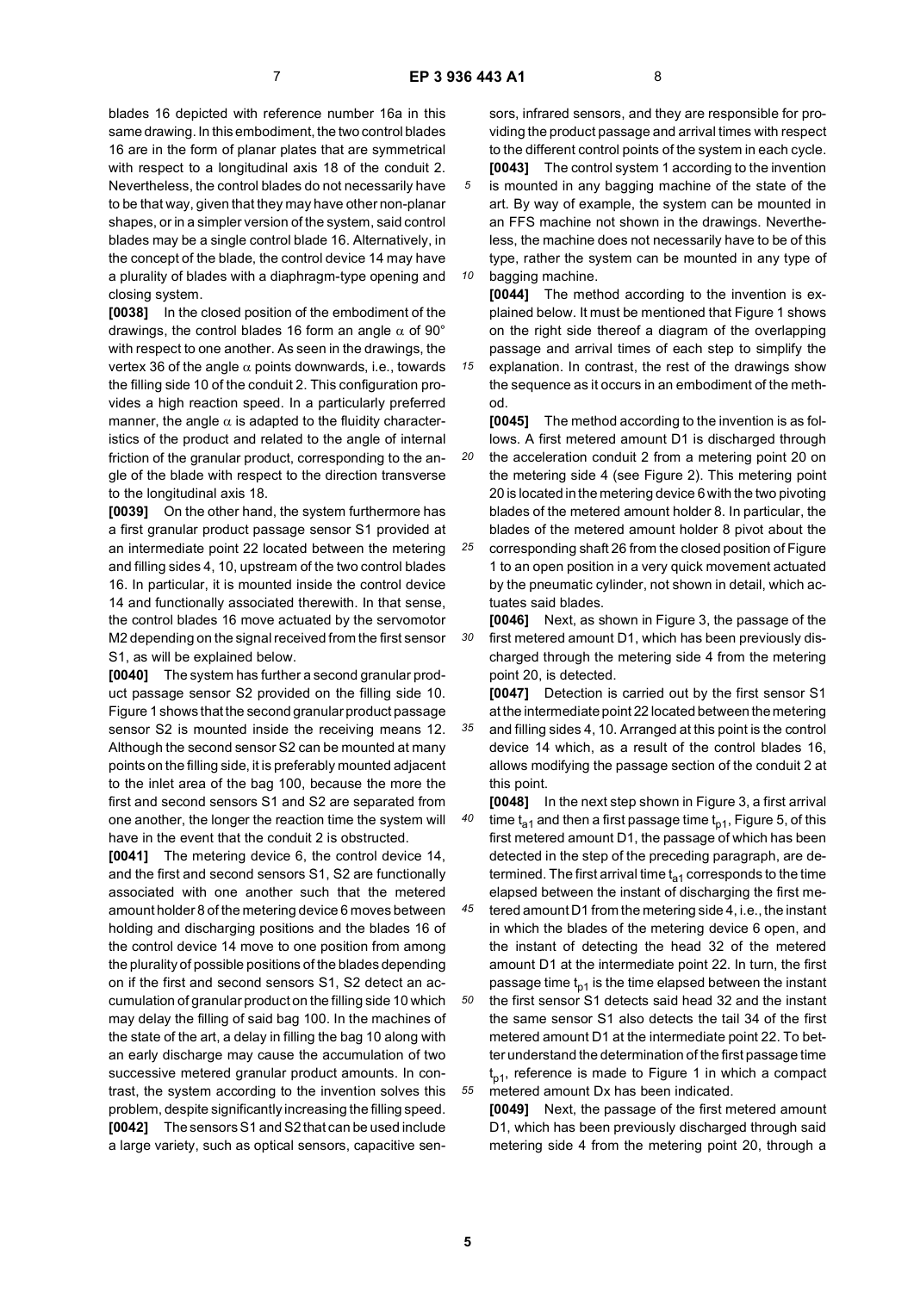*10*

*15*

blades 16 depicted with reference number 16a in this same drawing. In this embodiment, the two control blades 16 are in the form of planar plates that are symmetrical with respect to a longitudinal axis 18 of the conduit 2. Nevertheless, the control blades do not necessarily have to be that way, given that they may have other non-planar shapes, or in a simpler version of the system, said control blades may be a single control blade 16. Alternatively, in the concept of the blade, the control device 14 may have a plurality of blades with a diaphragm-type opening and closing system.

**[0038]** In the closed position of the embodiment of the drawings, the control blades 16 form an angle  $\alpha$  of 90° with respect to one another. As seen in the drawings, the vertex 36 of the angle  $\alpha$  points downwards, i.e., towards the filling side 10 of the conduit 2. This configuration provides a high reaction speed. In a particularly preferred manner, the angle  $\alpha$  is adapted to the fluidity characteristics of the product and related to the angle of internal friction of the granular product, corresponding to the angle of the blade with respect to the direction transverse to the longitudinal axis 18.

**[0039]** On the other hand, the system furthermore has a first granular product passage sensor S1 provided at an intermediate point 22 located between the metering and filling sides 4, 10, upstream of the two control blades 16. In particular, it is mounted inside the control device 14 and functionally associated therewith. In that sense, the control blades 16 move actuated by the servomotor M2 depending on the signal received from the first sensor S1, as will be explained below.

**[0040]** The system has further a second granular product passage sensor S2 provided on the filling side 10. Figure 1 shows that the second granular product passage sensor S2 is mounted inside the receiving means 12. Although the second sensor S2 can be mounted at many points on the filling side, it is preferably mounted adjacent to the inlet area of the bag 100, because the more the first and second sensors S1 and S2 are separated from one another, the longer the reaction time the system will have in the event that the conduit 2 is obstructed.

**[0041]** The metering device 6, the control device 14, and the first and second sensors S1, S2 are functionally associated with one another such that the metered amount holder 8 of the metering device 6 moves between holding and discharging positions and the blades 16 of the control device 14 move to one position from among the plurality of possible positions of the blades depending on if the first and second sensors S1, S2 detect an accumulation of granular product on the filling side 10 which may delay the filling of said bag 100. In the machines of the state of the art, a delay in filling the bag 10 along with an early discharge may cause the accumulation of two successive metered granular product amounts. In contrast, the system according to the invention solves this problem, despite significantly increasing the filling speed. **[0042]** The sensors S1 and S2 that can be used include a large variety, such as optical sensors, capacitive sensors, infrared sensors, and they are responsible for providing the product passage and arrival times with respect to the different control points of the system in each cycle. **[0043]** The control system 1 according to the invention is mounted in any bagging machine of the state of the art. By way of example, the system can be mounted in an FFS machine not shown in the drawings. Nevertheless, the machine does not necessarily have to be of this type, rather the system can be mounted in any type of bagging machine.

**[0044]** The method according to the invention is explained below. It must be mentioned that Figure 1 shows on the right side thereof a diagram of the overlapping passage and arrival times of each step to simplify the explanation. In contrast, the rest of the drawings show the sequence as it occurs in an embodiment of the meth-

*20* od. **[0045]** The method according to the invention is as follows. A first metered amount D1 is discharged through the acceleration conduit 2 from a metering point 20 on the metering side 4 (see Figure 2). This metering point 20 is located in the metering device 6 with the two pivoting blades of the metered amount holder 8. In particular, the blades of the metered amount holder 8 pivot about the

*25* corresponding shaft 26 from the closed position of Figure 1 to an open position in a very quick movement actuated by the pneumatic cylinder, not shown in detail, which actuates said blades.

*30* **[0046]** Next, as shown in Figure 3, the passage of the first metered amount D1, which has been previously discharged through the metering side 4 from the metering point 20, is detected.

**[0047]** Detection is carried out by the first sensor S1 at the intermediate point 22 located between the metering

*35* and filling sides 4, 10. Arranged at this point is the control device 14 which, as a result of the control blades 16, allows modifying the passage section of the conduit 2 at this point.

*40* **[0048]** In the next step shown in Figure 3, a first arrival time  $t_{a1}$  and then a first passage time  $t_{p1}$ , Figure 5, of this first metered amount D1, the passage of which has been detected in the step of the preceding paragraph, are determined. The first arrival time  $t_{a1}$  corresponds to the time elapsed between the instant of discharging the first me-

*45 50* tered amount D1 from the metering side 4, i.e., the instant in which the blades of the metering device 6 open, and the instant of detecting the head 32 of the metered amount D1 at the intermediate point 22. In turn, the first passage time  $t_{p1}$  is the time elapsed between the instant the first sensor S1 detects said head 32 and the instant the same sensor S1 also detects the tail 34 of the first metered amount D1 at the intermediate point 22. To better understand the determination of the first passage time t<sub>p1</sub>, reference is made to Figure 1 in which a compact

metered amount Dx has been indicated. **[0049]** Next, the passage of the first metered amount D1, which has been previously discharged through said

metering side 4 from the metering point 20, through a

**5**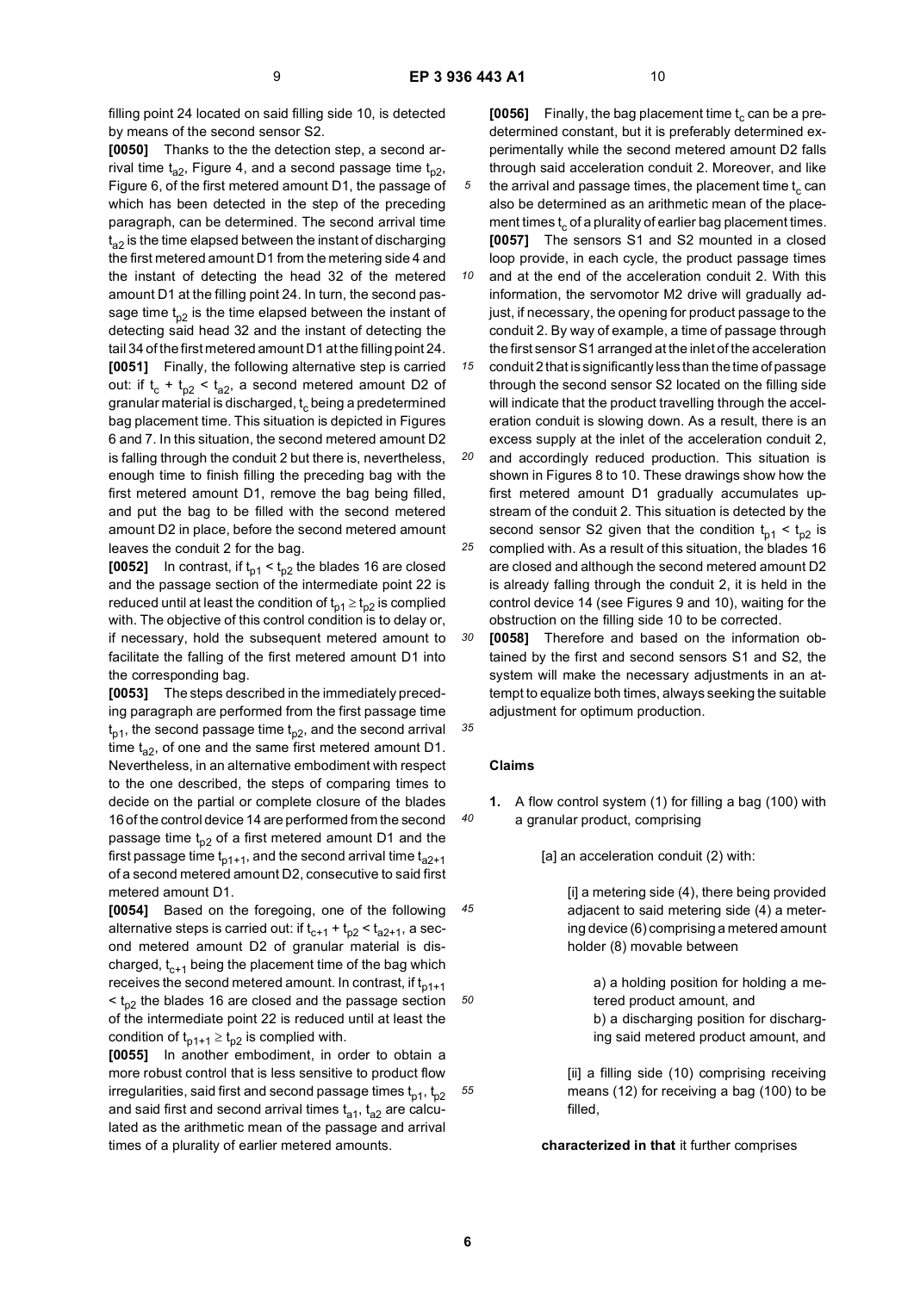filling point 24 located on said filling side 10, is detected by means of the second sensor S2.

**[0050]** Thanks to the the detection step, a second arrival time  $t_{a2}$ , Figure 4, and a second passage time  $t_{p2}$ , Figure 6, of the first metered amount D1, the passage of which has been detected in the step of the preceding paragraph, can be determined. The second arrival time  $t_{22}$  is the time elapsed between the instant of discharging the first metered amount D1 from the metering side 4 and the instant of detecting the head 32 of the metered amount D1 at the filling point 24. In turn, the second passage time  $t_{p2}$  is the time elapsed between the instant of detecting said head 32 and the instant of detecting the tail 34 of the first metered amount D1 at the filling point 24. **[0051]** Finally, the following alternative step is carried out: if  $t_c + t_{p2} < t_{q2}$ , a second metered amount D2 of granular material is discharged,  $t_c$  being a predetermined bag placement time. This situation is depicted in Figures 6 and 7. In this situation, the second metered amount D2 is falling through the conduit 2 but there is, nevertheless, enough time to finish filling the preceding bag with the first metered amount D1, remove the bag being filled, and put the bag to be filled with the second metered amount D2 in place, before the second metered amount leaves the conduit 2 for the bag.

**[0052]** In contrast, if  $t_{p1} < t_{p2}$  the blades 16 are closed and the passage section of the intermediate point 22 is reduced until at least the condition of  $t_{p1} \geq t_{p2}$  is complied with. The objective of this control condition is to delay or, if necessary, hold the subsequent metered amount to facilitate the falling of the first metered amount D1 into the corresponding bag.

**[0053]** The steps described in the immediately preceding paragraph are performed from the first passage time  $\bm{{\mathsf{t}}}_{\textsf{p} \texttt{1}},$  the second passage time  $\bm{{\mathsf{t}}}_{\textsf{p} \texttt{2}},$  and the second arrival time  $t_{a2}$ , of one and the same first metered amount D1. Nevertheless, in an alternative embodiment with respect to the one described, the steps of comparing times to decide on the partial or complete closure of the blades 16 of the control device 14 are performed from the second passage time  $t_{p2}$  of a first metered amount D1 and the first passage time  $t_{p1+1}$ , and the second arrival time  $t_{a2+1}$ of a second metered amount D2, consecutive to said first metered amount D1.

*45 50* **[0054]** Based on the foregoing, one of the following alternative steps is carried out: if  $t_{c+1} + t_{p2} < t_{a2+1}$ , a second metered amount D2 of granular material is discharged,  $t_{c+1}$  being the placement time of the bag which receives the second metered amount. In contrast, if  $t_{p1+1}$  $<$  t<sub>n2</sub> the blades 16 are closed and the passage section of the intermediate point 22 is reduced until at least the condition of  $t_{p1+1} \geq t_{p2}$  is complied with.

**[0055]** In another embodiment, in order to obtain a more robust control that is less sensitive to product flow irregularities, said first and second passage times  $t_{p1}$ ,  $t_{p2}$ and said first and second arrival times  $t_{a1}$ ,  $t_{a2}$  are calculated as the arithmetic mean of the passage and arrival times of a plurality of earlier metered amounts.

**[0056]** Finally, the bag placement time  $t_c$  can be a predetermined constant, but it is preferably determined experimentally while the second metered amount D2 falls through said acceleration conduit 2. Moreover, and like the arrival and passage times, the placement time  $t_c$  can also be determined as an arithmetic mean of the placement times  $t_c$  of a plurality of earlier bag placement times. **[0057]** The sensors S1 and S2 mounted in a closed loop provide, in each cycle, the product passage times

*10 15* and at the end of the acceleration conduit 2. With this information, the servomotor M2 drive will gradually adjust, if necessary, the opening for product passage to the conduit 2. By way of example, a time of passage through the first sensor S1 arranged at the inlet of the acceleration conduit 2 that is significantly less than the time of passage

through the second sensor S2 located on the filling side will indicate that the product travelling through the acceleration conduit is slowing down. As a result, there is an excess supply at the inlet of the acceleration conduit 2,

*20 25* and accordingly reduced production. This situation is shown in Figures 8 to 10. These drawings show how the first metered amount D1 gradually accumulates upstream of the conduit 2. This situation is detected by the second sensor S2 given that the condition  $t_{p1} < t_{p2}$  is complied with. As a result of this situation, the blades 16

are closed and although the second metered amount D2 is already falling through the conduit 2, it is held in the control device 14 (see Figures 9 and 10), waiting for the obstruction on the filling side 10 to be corrected.

*30* **[0058]** Therefore and based on the information obtained by the first and second sensors S1 and S2, the system will make the necessary adjustments in an attempt to equalize both times, always seeking the suitable adjustment for optimum production.

*35*

*40*

## **Claims**

**1.** A flow control system (1) for filling a bag (100) with a granular product, comprising

[a] an acceleration conduit (2) with:

[i] a metering side (4), there being provided adjacent to said metering side (4) a metering device (6) comprising a metered amount holder (8) movable between

> a) a holding position for holding a metered product amount, and b) a discharging position for discharging said metered product amount, and

[ii] a filling side (10) comprising receiving means (12) for receiving a bag (100) to be filled,

#### **characterized in that** it further comprises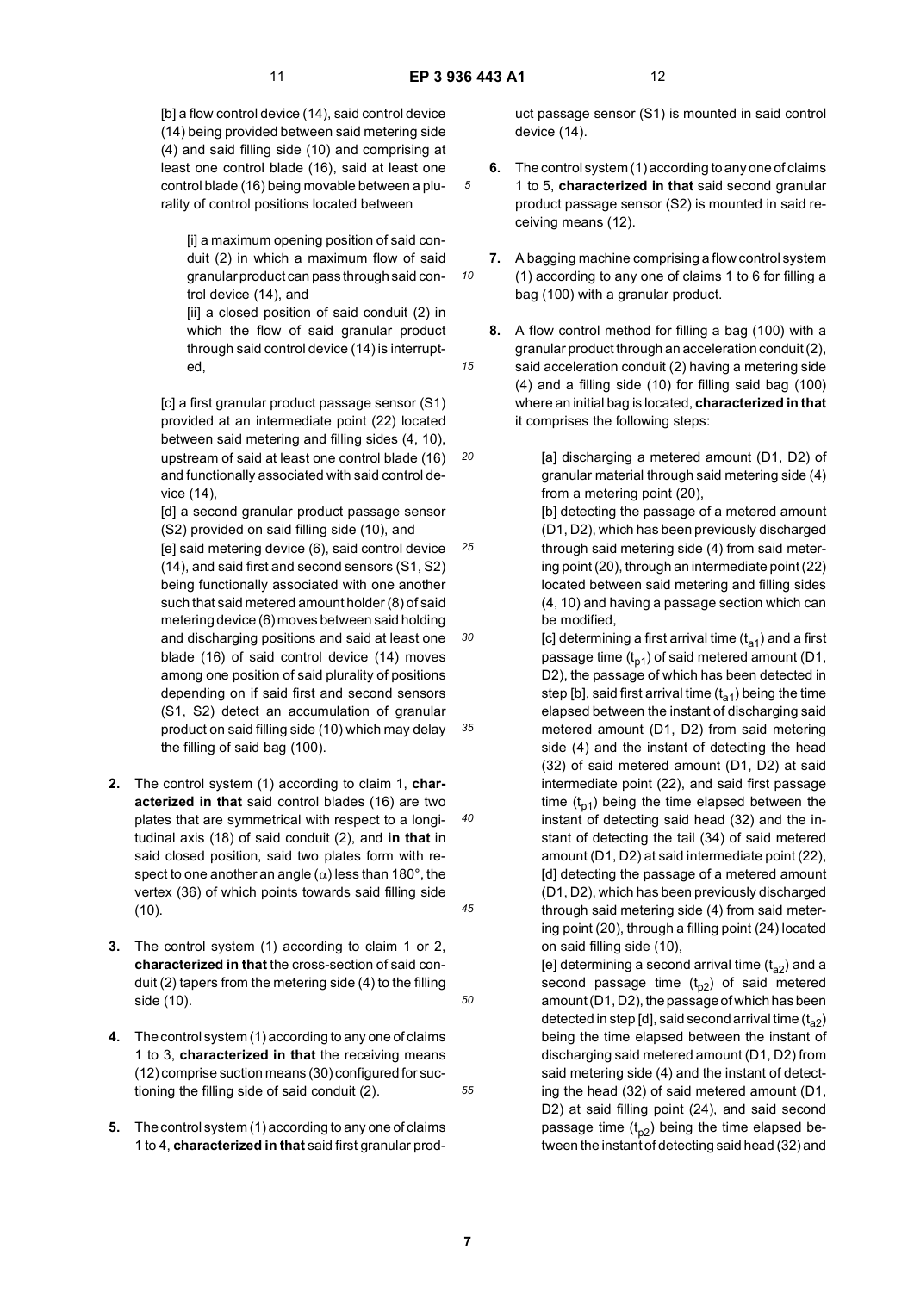*10*

*15*

*20*

[b] a flow control device (14), said control device (14) being provided between said metering side (4) and said filling side (10) and comprising at least one control blade (16), said at least one control blade (16) being movable between a plurality of control positions located between

[i] a maximum opening position of said conduit (2) in which a maximum flow of said granular product can pass through said control device (14), and

[ii] a closed position of said conduit (2) in which the flow of said granular product through said control device (14) is interrupted,

[c] a first granular product passage sensor (S1) provided at an intermediate point (22) located between said metering and filling sides (4, 10), upstream of said at least one control blade (16) and functionally associated with said control device (14),

[d] a second granular product passage sensor (S2) provided on said filling side (10), and

*25 30 35* [e] said metering device (6), said control device (14), and said first and second sensors (S1, S2) being functionally associated with one another such that said metered amount holder (8) of said metering device (6) moves between said holding and discharging positions and said at least one blade (16) of said control device (14) moves among one position of said plurality of positions depending on if said first and second sensors (S1, S2) detect an accumulation of granular product on said filling side (10) which may delay the filling of said bag (100).

- *40 45* **2.** The control system (1) according to claim 1, **characterized in that** said control blades (16) are two plates that are symmetrical with respect to a longitudinal axis (18) of said conduit (2), and **in that** in said closed position, said two plates form with respect to one another an angle  $(\alpha)$  less than 180 $^{\circ}$ , the vertex (36) of which points towards said filling side (10).
- **3.** The control system (1) according to claim 1 or 2, **characterized in that** the cross-section of said conduit (2) tapers from the metering side (4) to the filling side (10).
- **4.** The control system (1) according to any one of claims 1 to 3, **characterized in that** the receiving means (12) comprise suction means (30) configured for suctioning the filling side of said conduit (2).
- **5.** The control system (1) according to any one of claims 1 to 4, **characterized in that** said first granular prod-

uct passage sensor (S1) is mounted in said control device (14).

- **6.** The control system (1) according to any one of claims 1 to 5, **characterized in that** said second granular product passage sensor (S2) is mounted in said receiving means (12).
- **7.** A bagging machine comprising a flow control system (1) according to any one of claims 1 to 6 for filling a bag (100) with a granular product.

**8.** A flow control method for filling a bag (100) with a granular product through an acceleration conduit (2), said acceleration conduit (2) having a metering side (4) and a filling side (10) for filling said bag (100) where an initial bag is located, **characterized in that** it comprises the following steps:

> [a] discharging a metered amount (D1, D2) of granular material through said metering side (4) from a metering point (20),

[b] detecting the passage of a metered amount (D1, D2), which has been previously discharged through said metering side (4) from said metering point (20), through an intermediate point (22) located between said metering and filling sides (4, 10) and having a passage section which can be modified,

[c] determining a first arrival time  $(t_{a1})$  and a first passage time  $(t_{p1})$  of said metered amount (D1, D2), the passage of which has been detected in step [b], said first arrival time  $(t_{a1})$  being the time elapsed between the instant of discharging said metered amount (D1, D2) from said metering side (4) and the instant of detecting the head (32) of said metered amount (D1, D2) at said intermediate point (22), and said first passage time  $(t_{p1})$  being the time elapsed between the instant of detecting said head (32) and the instant of detecting the tail (34) of said metered amount (D1, D2) at said intermediate point (22), [d] detecting the passage of a metered amount (D1, D2), which has been previously discharged through said metering side (4) from said metering point (20), through a filling point (24) located on said filling side (10),

[e] determining a second arrival time  $(t_{a2})$  and a second passage time  $(t_{p2})$  of said metered amount (D1, D2), the passage of which has been detected in step [d], said second arrival time  $(t_{a2})$ being the time elapsed between the instant of discharging said metered amount (D1, D2) from said metering side (4) and the instant of detecting the head (32) of said metered amount (D1, D2) at said filling point (24), and said second passage time  $(t_{p2})$  being the time elapsed between the instant of detecting said head (32) and

*50*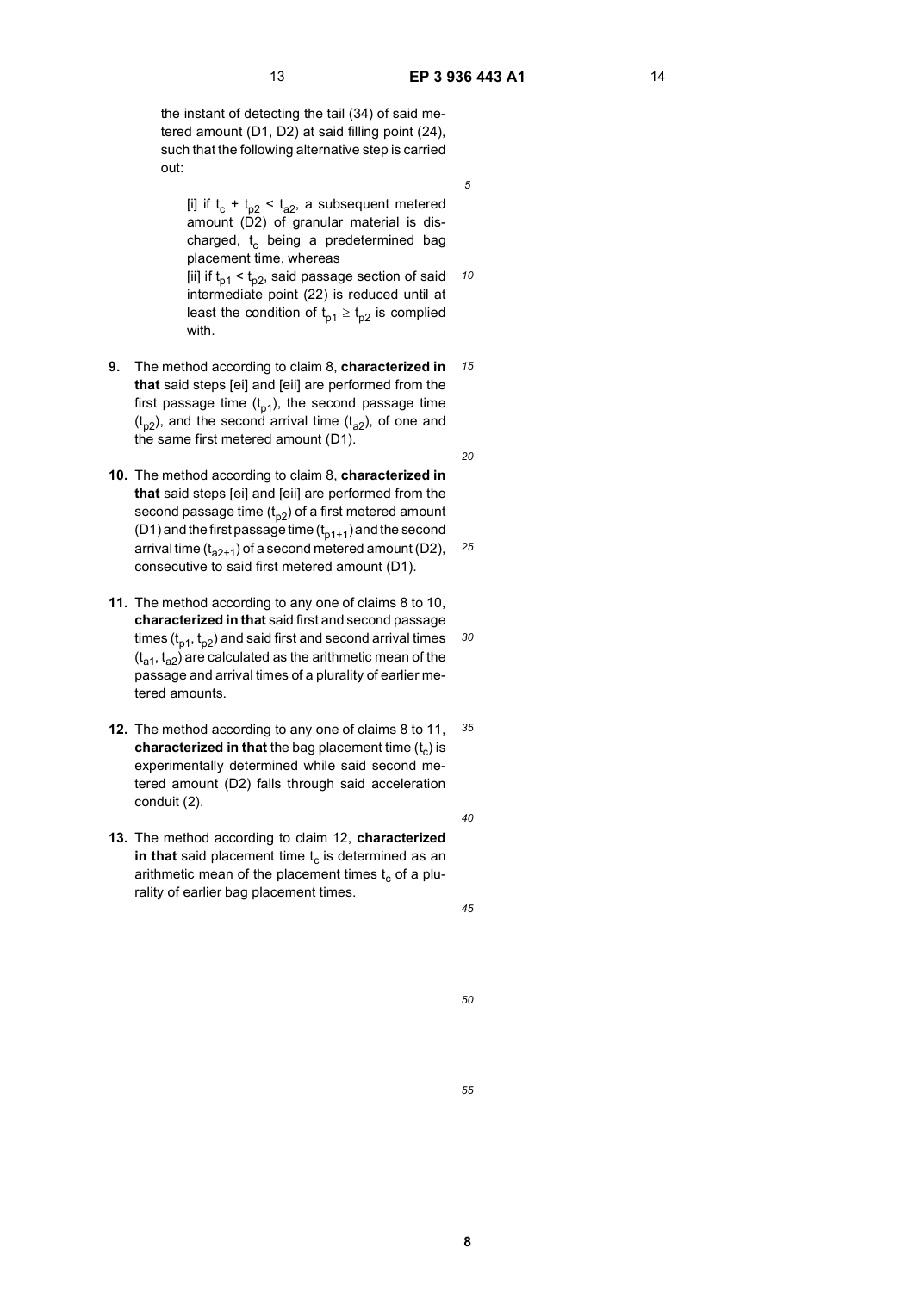*10*

*15*

*20*

*30*

the instant of detecting the tail (34) of said metered amount (D1, D2) at said filling point (24), such that the following alternative step is carried out:

[i] if  $t_c + t_{p2} < t_{q2}$ , a subsequent metered amount  $(D2)$  of granular material is discharged,  $t_c$  being a predetermined bag placement time, whereas [ii] if  $t_{p1} < t_{p2}$ , said passage section of said intermediate point (22) is reduced until at least the condition of  $t_{p1} \geq t_{p2}$  is complied

with. **9.** The method according to claim 8, **characterized in**

**that** said steps [ei] and [eii] are performed from the first passage time  $(t_{p1})$ , the second passage time  $(t_{p2})$ , and the second arrival time  $(t_{q2})$ , of one and the same first metered amount (D1).

*25* **10.** The method according to claim 8, **characterized in that** said steps [ei] and [eii] are performed from the second passage time  $(t_{p2})$  of a first metered amount (D1) and the first passage time  $(t_{n1+1})$  and the second arrival time  $(t_{a2+1})$  of a second metered amount (D2), consecutive to said first metered amount (D1).

- **11.** The method according to any one of claims 8 to 10, **characterized in that** said first and second passage times  $(t_{p1}, t_{p2})$  and said first and second arrival times  $(t_{a1}, t_{a2})$  are calculated as the arithmetic mean of the passage and arrival times of a plurality of earlier metered amounts.
- *35* **12.** The method according to any one of claims 8 to 11, **characterized in that** the bag placement time  $(t<sub>c</sub>)$  is experimentally determined while said second metered amount (D2) falls through said acceleration conduit (2).
- **13.** The method according to claim 12, **characterized** in that said placement time  $t_c$  is determined as an arithmetic mean of the placement times  $t_c$  of a plurality of earlier bag placement times.

*45*

*40*

*50*

*55*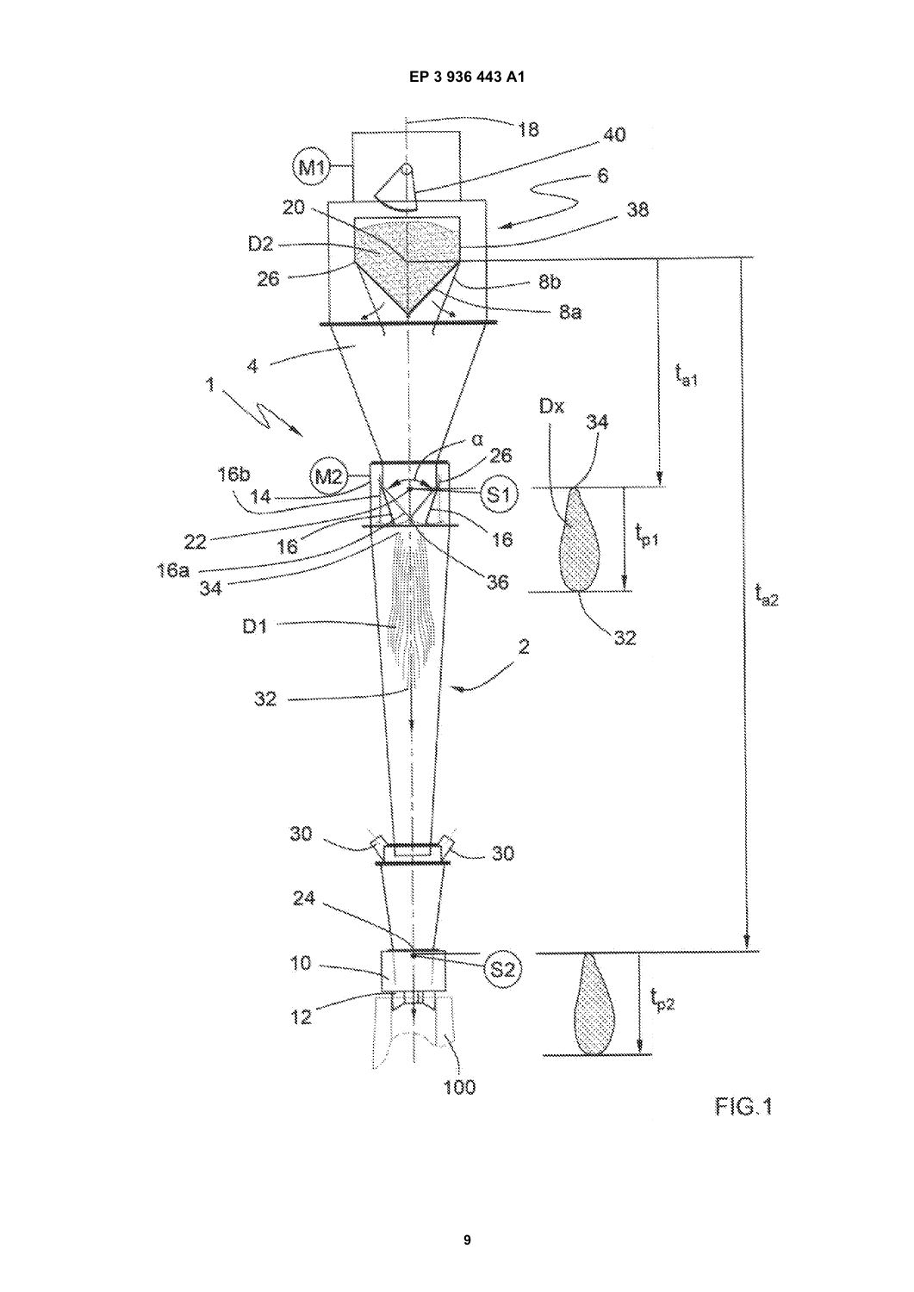

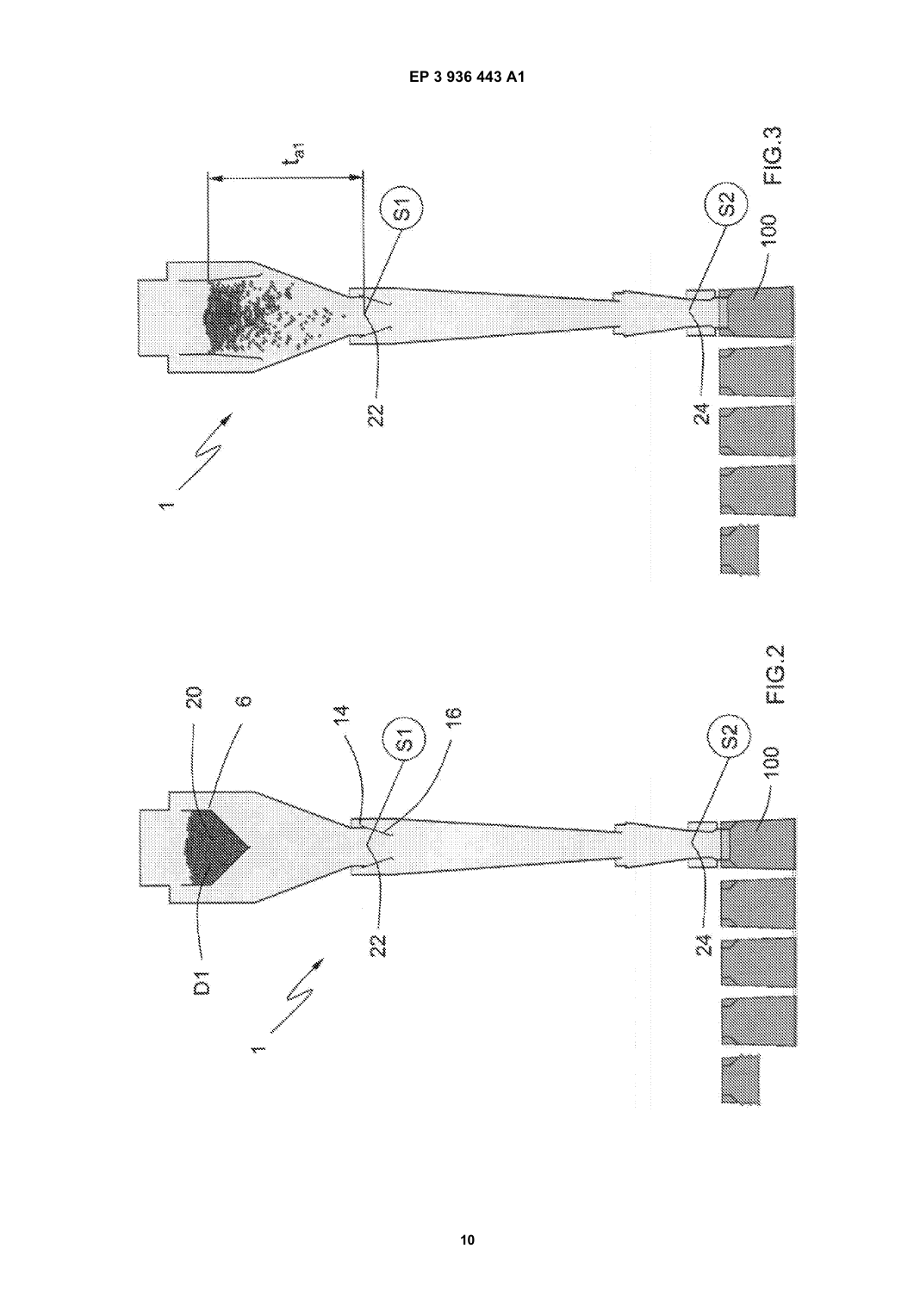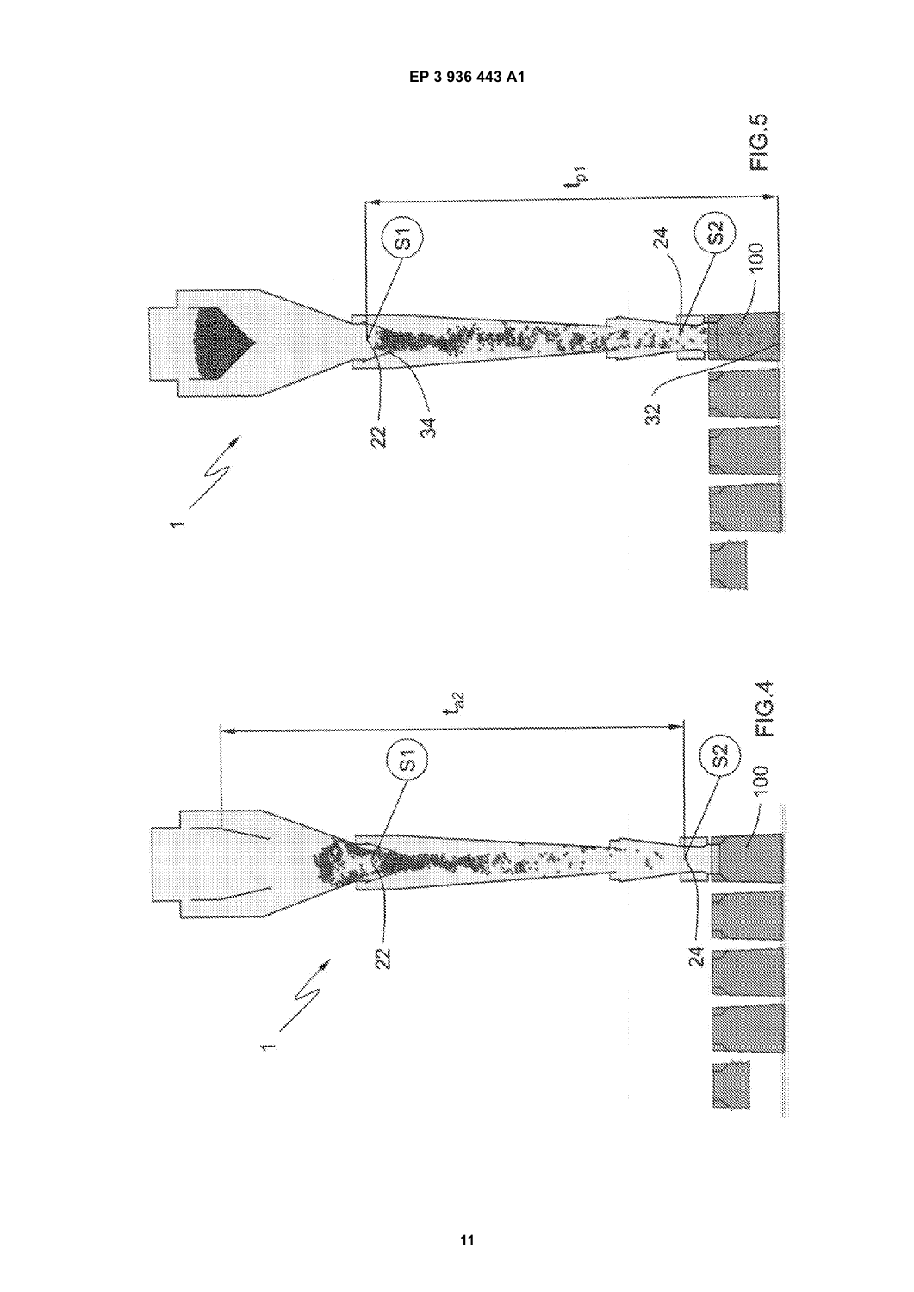

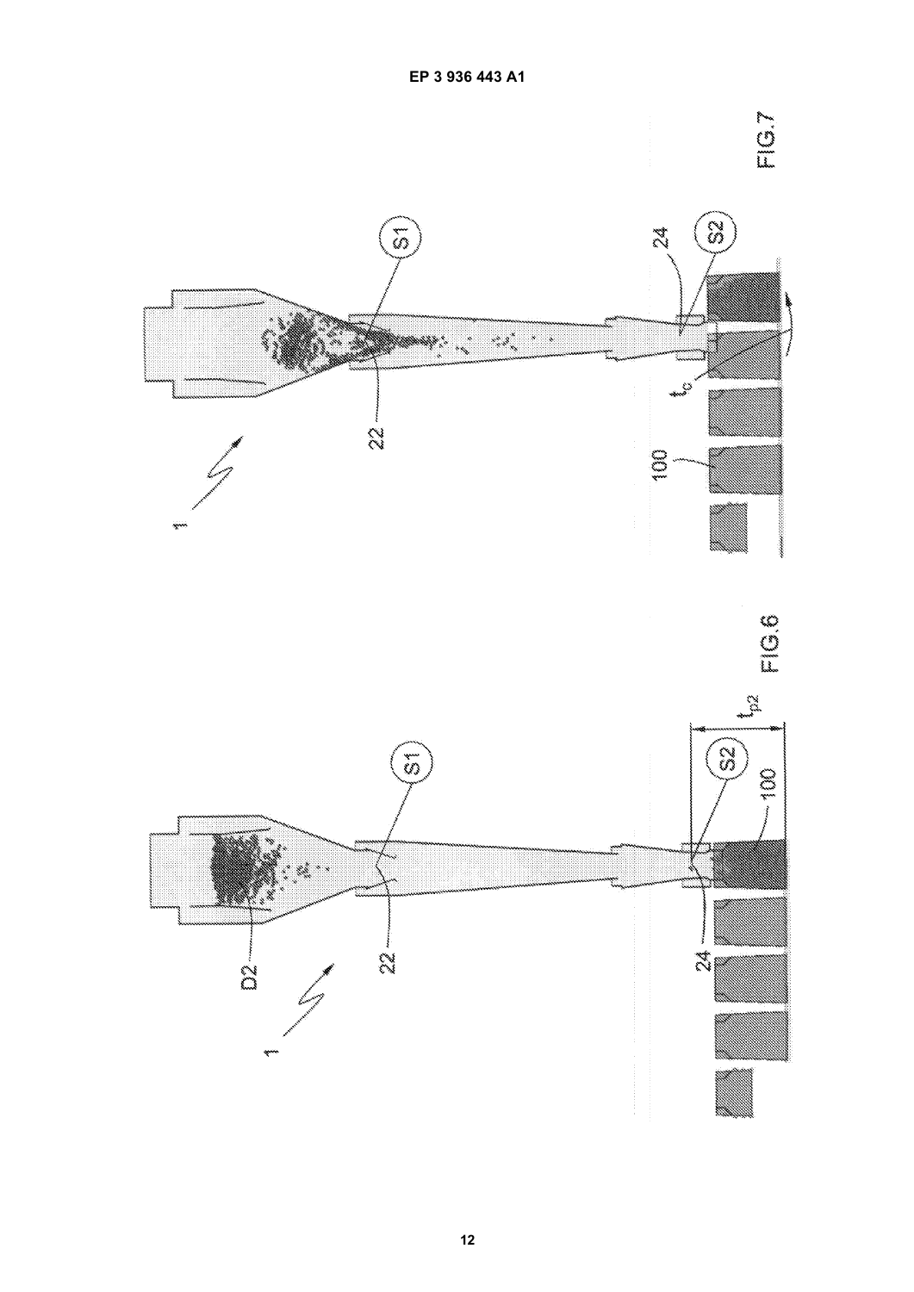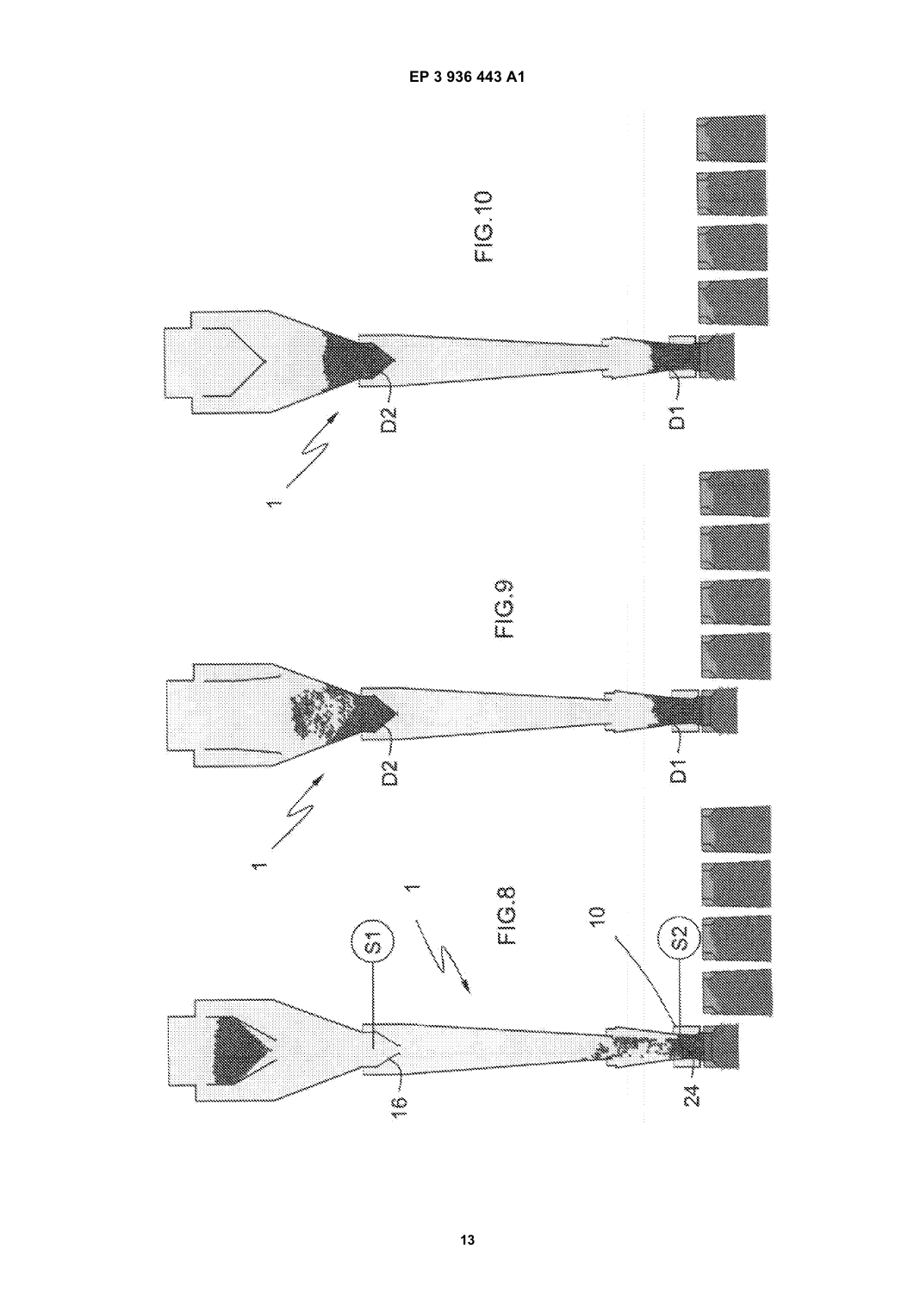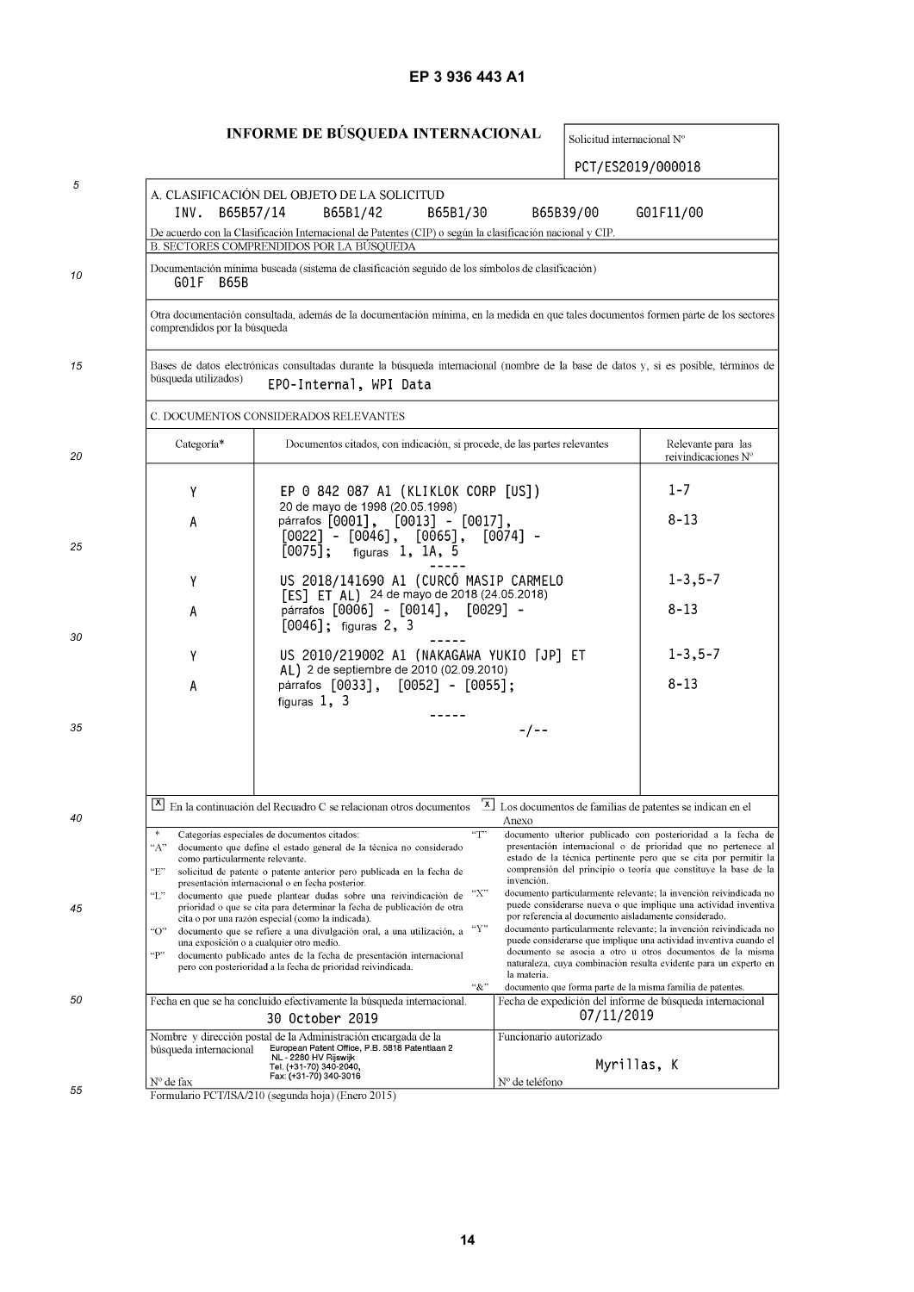# **EP 3 936 443 A1**

# INFORME DE BÚSQUEDA INTERNACIONAL

Solicitud internacional N°

PCT/ES2019/000018

| 5  | INV.<br>B65B57/14                                  | A. CLASIFICACIÓN DEL OBJETO DE LA SOLICITUD<br>B65B1/42                                                                                                                                                                                                  | B65B1/30       | B65B39/00                                                                | G01F11/00                                                                                                                                                                                                                                                               |
|----|----------------------------------------------------|----------------------------------------------------------------------------------------------------------------------------------------------------------------------------------------------------------------------------------------------------------|----------------|--------------------------------------------------------------------------|-------------------------------------------------------------------------------------------------------------------------------------------------------------------------------------------------------------------------------------------------------------------------|
|    |                                                    | De acuerdo con la Clasificación Internacional de Patentes (CIP) o según la clasificación nacional y CIP.<br>B. SECTORES COMPRENDIDOS POR LA BÚSQUEDA                                                                                                     |                |                                                                          |                                                                                                                                                                                                                                                                         |
| 10 | G01F<br><b>B65B</b>                                | Documentación mínima buscada (sistema de clasificación seguido de los símbolos de clasificación)                                                                                                                                                         |                |                                                                          |                                                                                                                                                                                                                                                                         |
|    | comprendidos por la búsqueda                       | Otra documentación consultada, además de la documentación mínima, en la medida en que tales documentos formen parte de los sectores                                                                                                                      |                |                                                                          |                                                                                                                                                                                                                                                                         |
| 15 | búsqueda utilizados)                               | Bases de datos electrónicas consultadas durante la búsqueda internacional (nombre de la base de datos y, si es posible, términos de<br>EPO-Internal, WPI Data                                                                                            |                |                                                                          |                                                                                                                                                                                                                                                                         |
|    |                                                    | C. DOCUMENTOS CONSIDERADOS RELEVANTES                                                                                                                                                                                                                    |                |                                                                          |                                                                                                                                                                                                                                                                         |
| 20 | Categoría*                                         | Documentos citados, con indicación, si procede, de las partes relevantes                                                                                                                                                                                 |                |                                                                          | Relevante para las<br>reivindicaciones N°                                                                                                                                                                                                                               |
|    | Υ                                                  | EP 0 842 087 A1 (KLIKLOK CORP [US])<br>20 de mayo de 1998 (20.05.1998)                                                                                                                                                                                   |                |                                                                          | $1 - 7$                                                                                                                                                                                                                                                                 |
| 25 | Α                                                  | párrafos [0001], [0013] - [0017],<br>$[0022] - [0046], [0065], [0074] -$<br>$[0075]$ ; figuras 1, 1A, 5                                                                                                                                                  |                |                                                                          | $8 - 13$                                                                                                                                                                                                                                                                |
|    | Y                                                  | US 2018/141690 A1 (CURCÓ MASIP CARMELO<br>[ES] ET AL) 24 de mayo de 2018 (24.05.2018)                                                                                                                                                                    |                |                                                                          | $1 - 3, 5 - 7$                                                                                                                                                                                                                                                          |
| 30 | Α                                                  | párrafos [0006] - [0014], [0029] -<br>$[0046]$ ; figuras 2, 3                                                                                                                                                                                            |                |                                                                          | $8 - 13$                                                                                                                                                                                                                                                                |
|    | Y                                                  | US 2010/219002 A1 (NAKAGAWA YUKIO [JP] ET<br>AL) 2 de septiembre de 2010 (02.09.2010)                                                                                                                                                                    | $1 - 3, 5 - 7$ |                                                                          |                                                                                                                                                                                                                                                                         |
|    | А                                                  | párrafos [0033], [0052] - [0055];<br>figuras $1, 3$                                                                                                                                                                                                      |                |                                                                          | $8 - 13$                                                                                                                                                                                                                                                                |
| 35 |                                                    |                                                                                                                                                                                                                                                          |                | -/--                                                                     |                                                                                                                                                                                                                                                                         |
|    |                                                    | $\boxed{\text{X}}$ En la continuación del Recuadro C se relacionan otros documentos                                                                                                                                                                      |                | [X] Los documentos de familias de patentes se indican en el              |                                                                                                                                                                                                                                                                         |
| 40 | *<br>"А"<br>como particularmente relevante.<br>"E" | Categorías especiales de documentos citados:<br>documento que define el estado general de la técnica no considerado<br>solicitud de patente o patente anterior pero publicada en la fecha de                                                             | $\lq\lq$       | Anexo                                                                    | documento ulterior publicado con posterioridad a la fecha de<br>presentación internacional o de prioridad que no pertenece al<br>estado de la técnica pertinente pero que se cita por permitir la<br>comprensión del principio o teoría que constituye la base de la    |
| 45 | "L"                                                | presentación internacional o en fecha posterior.<br>documento que puede plantear dudas sobre una reivindicación de<br>prioridad o que se cita para determinar la fecha de publicación de otra<br>cita o por una razón especial (como la indicada).       | "Х'            | invención.<br>por referencia al documento aisladamente considerado.      | documento particularmente relevante; la invención reivindicada no<br>puede considerarse nueva o que implique una actividad inventiva                                                                                                                                    |
|    | "O"<br>«p»                                         | documento que se refiere a una divulgación oral, a una utilización, a<br>una exposición o a cualquier otro medio.<br>documento publicado antes de la fecha de presentación internacional<br>pero con posterioridad a la fecha de prioridad reivindicada. | "Y"            | la materia.                                                              | documento particularmente relevante; la invención reivindicada no<br>puede considerarse que implique una actividad inventiva cuando el<br>documento se asocia a otro u otros documentos de la misma<br>naturaleza, cuya combinación resulta evidente para un experto en |
| 50 |                                                    | Fecha en que se ha concluido efectivamente la búsqueda internacional<br>30 October 2019                                                                                                                                                                  | ``&"           | documento que forma parte de la misma familia de patentes.<br>07/11/2019 | Fecha de expedición del informe de búsqueda internacional                                                                                                                                                                                                               |
|    | búsqueda internacional                             | Nombre y dirección postal de la Administración encargada de la<br>European Patent Office, P.B. 5818 Patentlaan 2<br>NL - 2280 HV Rijswijk<br>Tel. (+31-70) 340-2040,<br>Fax: (+31-70) 340-3016                                                           |                | Funcionario autorizado                                                   | Myrillas, K                                                                                                                                                                                                                                                             |
| 55 | N° de fax                                          | Formulario PCT/ISA/210 (segunda hoja) (Enero 2015)                                                                                                                                                                                                       |                | $N°$ de teléfono                                                         |                                                                                                                                                                                                                                                                         |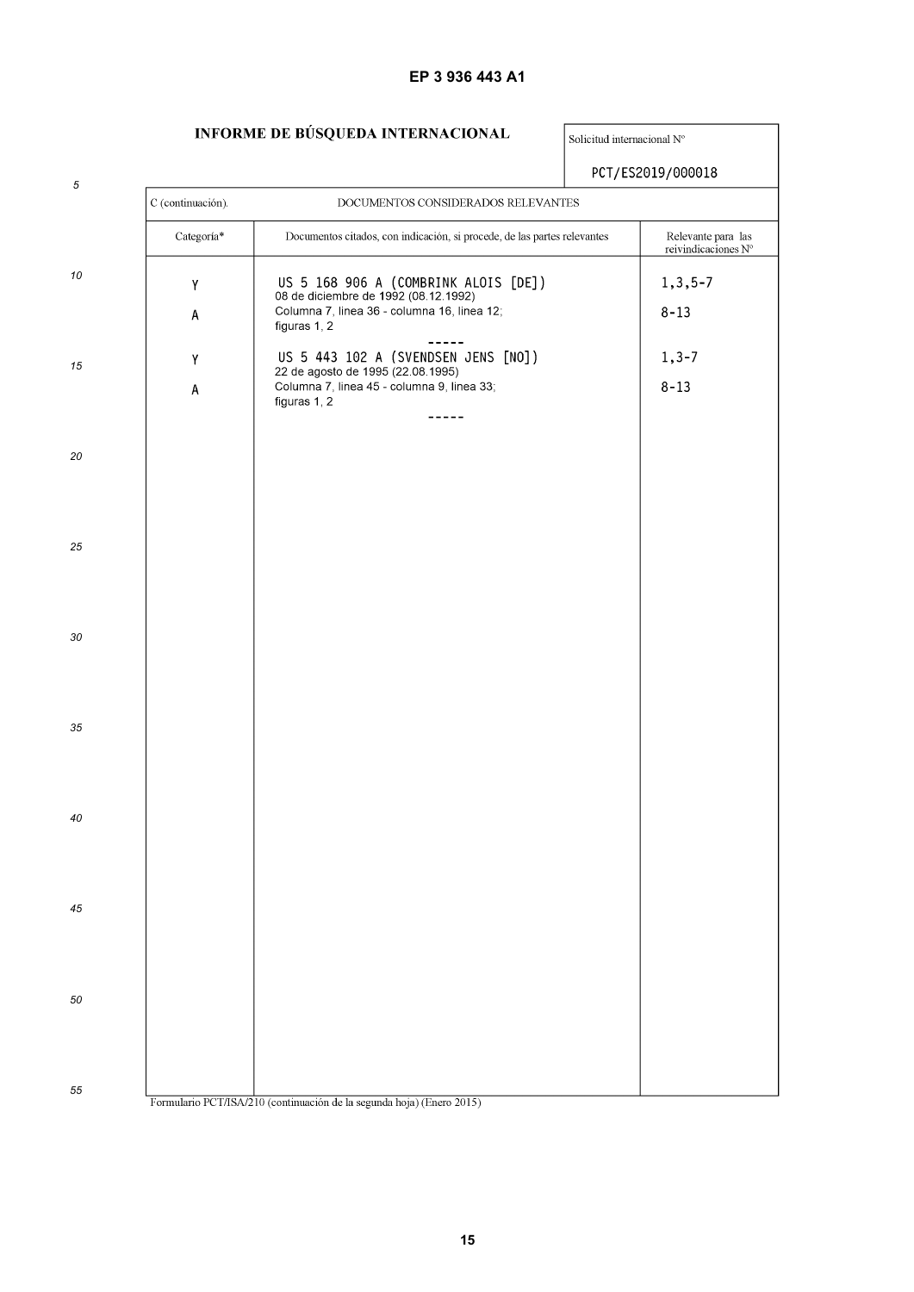# **EP 3 936 443 A1**

# **INFORME DE BÚSQUEDA INTERNACIONAL**

Solicitud internacional  $N^{\circ}$ 

|            |                                                         |                                                                                                                                                 | PCT/ES2019/000018                         |  |  |  |  |
|------------|---------------------------------------------------------|-------------------------------------------------------------------------------------------------------------------------------------------------|-------------------------------------------|--|--|--|--|
| $\sqrt{5}$ | C (continuación).<br>DOCUMENTOS CONSIDERADOS RELEVANTES |                                                                                                                                                 |                                           |  |  |  |  |
|            | Categoría*                                              | Documentos citados, con indicación, si procede, de las partes relevantes                                                                        | Relevante para las<br>reivindicaciones N° |  |  |  |  |
| 10         | Υ<br>Α                                                  | US 5 168 906 A (COMBRINK ALOIS [DE])<br>08 de diciembre de 1992 (08.12.1992)<br>Columna 7, linea 36 - columna 16, linea 12;<br>figuras 1, 2     | $1, 3, 5 - 7$<br>$8 - 13$                 |  |  |  |  |
| 15         | Υ<br>A                                                  | US 5 443 102 A (SVENDSEN JENS [NO])<br>22 de agosto de 1995 (22.08.1995)<br>Columna 7, linea 45 - columna 9, linea 33;<br>figuras 1, 2<br>----- | $1, 3 - 7$<br>$8 - 13$                    |  |  |  |  |
| 20         |                                                         |                                                                                                                                                 |                                           |  |  |  |  |
| 25         |                                                         |                                                                                                                                                 |                                           |  |  |  |  |
| 30         |                                                         |                                                                                                                                                 |                                           |  |  |  |  |
| 35         |                                                         |                                                                                                                                                 |                                           |  |  |  |  |
| 40         |                                                         |                                                                                                                                                 |                                           |  |  |  |  |
| 45         |                                                         |                                                                                                                                                 |                                           |  |  |  |  |
| 50         |                                                         |                                                                                                                                                 |                                           |  |  |  |  |
| 55         |                                                         | Formulario PCT/ISA/210 (continuación de la segunda hoja) (Enero 2015)                                                                           |                                           |  |  |  |  |